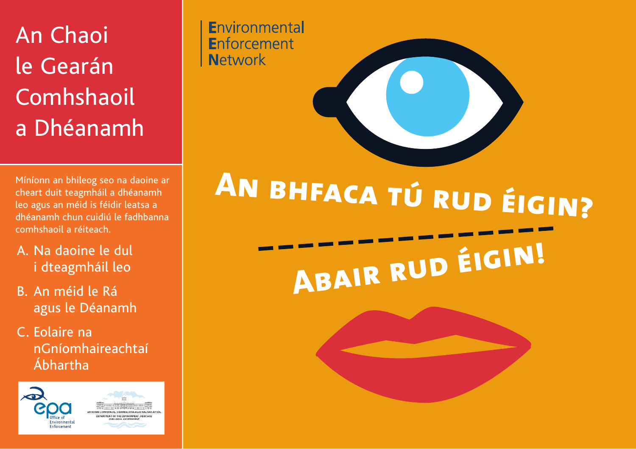## An Chaoi le Gearán Comhshaoil a Dhéanamh

Míníonn an bhileog seo na daoine ar cheart duit teagmháil a dhéanamh leo agus an méid is féidir leatsa a dhéanamh chun cuidiú le fadhbanna comhshaoil a réiteach.

- A. Na daoine le dul i dteagmháil leo
- B. An méid le Rá agus le Déanamh
- C. Eolaire na nGníomhaireachtaí Ábhartha



Environmental **Enforcement Network** 

# **An bhfaca tú rud éigin? Abair rud éigin!**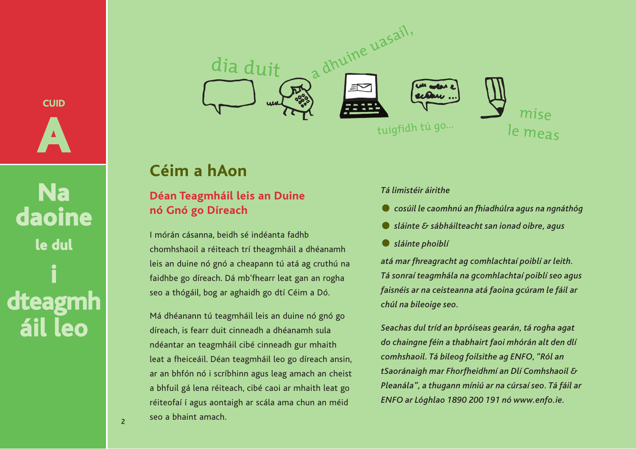

**Na daoine le dul i dteagmh áil leo**



## **Céim a hAon**

#### **Déan Teagmháil leis an Duine nó Gnó go Díreach**

I mórán cásanna, beidh sé indéanta fadhb chomhshaoil a réiteach trí theagmháil a dhéanamh leis an duine nó gnó a cheapann tú atá ag cruthú na faidhbe go díreach. Dá mb'fhearr leat gan an rogha seo a thógáil, bog ar aghaidh go dtí Céim a Dó.

Má dhéanann tú teagmháil leis an duine nó gnó go díreach, is fearr duit cinneadh a dhéanamh sula ndéantar an teagmháil cibé cinneadh gur mhaith leat a fheiceáil. Déan teagmháil leo go díreach ansin, ar an bhfón nó i scríbhinn agus leag amach an cheist a bhfuil gá lena réiteach, cibé caoi ar mhaith leat go réiteofaí í agus aontaigh ar scála ama chun an méid seo a bhaint amach.

#### *Tá limistéir áirithe*

- *cosúil le caomhnú an fhiadhúlra agus na ngnáthóg*
- *sláinte & sábháilteacht san ionad oibre, agus*
- *sláinte phoiblí*

*atá mar fhreagracht ag comhlachtaí poiblí ar leith. Tá sonraí teagmhála na gcomhlachtaí poiblí seo agus faisnéis ar na ceisteanna atá faoina gcúram le fáil ar chúl na bileoige seo.* 

*Seachas dul tríd an bpróiseas gearán, tá rogha agat do chaingne féin a thabhairt faoi mhórán alt den dlí comhshaoil. Tá bileog foilsithe ag ENFO, "Ról an tSaoránaigh mar Fhorfheidhmí an Dlí Comhshaoil & Pleanála", a thugann míniú ar na cúrsaí seo. Tá fáil ar ENFO ar Lóghlao 1890 200 191 nó www.enfo.ie.*

2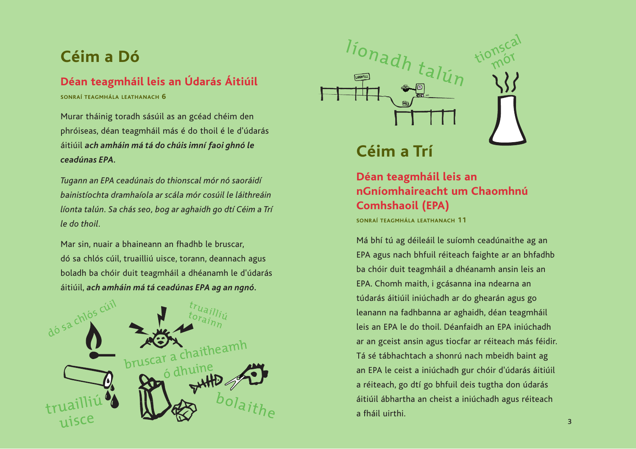## **Céim a Dó**

#### **Déan teagmháil leis an Údarás Áitiúil**

**SONRAÍ TEAGMHÁLA LEATHANACH 6**

Murar tháinig toradh sásúil as an gcéad chéim den phróiseas, déan teagmháil más é do thoil é le d'údarás áitiúil *ach amháin má tá do chúis imní faoi ghnó le ceadúnas EPA.* 

*Tugann an EPA ceadúnais do thionscal mór nó saoráidí bainistíochta dramhaíola ar scála mór cosúil le láithreáin líonta talún. Sa chás seo, bog ar aghaidh go dtí Céim a Trí le do thoil.* 

Mar sin, nuair a bhaineann an fhadhb le bruscar, dó sa chlós cúil, truailliú uisce, torann, deannach agus boladh ba chóir duit teagmháil a dhéanamh le d'údarás áitiúil, *ach amháin má tá ceadúnas EPA ag an ngnó.* 





## **Céim a Trí**

#### **Déan teagmháil leis an nGníomhaireacht um Chaomhnú Comhshaoil (EPA)**

**SONRAÍ TEAGMHÁLA LEATHANACH 11**

Má bhí tú ag déileáil le suíomh ceadúnaithe ag an EPA agus nach bhfuil réiteach faighte ar an bhfadhb ba chóir duit teagmháil a dhéanamh ansin leis an EPA. Chomh maith, i gcásanna ina ndearna an túdarás áitiúil iniúchadh ar do ghearán agus go leanann na fadhbanna ar aghaidh, déan teagmháil leis an EPA le do thoil. Déanfaidh an EPA iniúchadh ar an gceist ansin agus tiocfar ar réiteach más féidir. Tá sé tábhachtach a shonrú nach mbeidh baint ag an EPA le ceist a iniúchadh gur chóir d'údarás áitiúil a réiteach, go dtí go bhfuil deis tugtha don údarás áitiúil ábhartha an cheist a iniúchadh agus réiteach a fháil uirthi.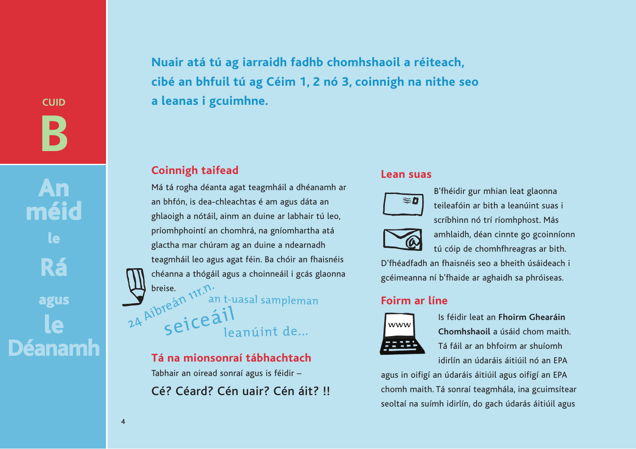**CUID B**

**An méid le Rá agus le Déanamh** **Nuair atá tú ag iarraidh fadhb chomhshaoil a réiteach, cibé an bhfuil tú ag Céim 1, 2 nó 3, coinnigh na nithe seo a leanas i gcuimhne.**

#### **Coinnigh taifead**

Má tá rogha déanta agat teagmháil a dhéanamh ar an bhfón, is dea-chleachtas é am agus dáta an ghlaoigh a nótáil, ainm an duine ar labhair tú leo, príomhphointí an chomhrá, na gníomhartha atá glactha mar chúram ag an duine a ndearnadh teagmháil leo agus agat féin. Ba chóir an fhaisnéis chéanna a thógáil agus a choinneáil i gcás glaonna  $\sum_{\text{24}}^{\text{briese}}$   $\sum_{\text{24}}^{\text{briese}}$   $\sum_{\text{25}}^{\text{bres}(\text{a})}$   $\sum_{\text{26}}^{\text{bics}}$   $\sum_{\text{27}}^{\text{bics}}$   $\sum_{\text{28}}^{\text{cis}}$   $\sum_{\text{29}}^{\text{bres}(\text{a})}$   $\sum_{\text{20}}^{\text{bres}(\text{a})}$   $\sum_{\text{21}}^{\text{bres}(\text{a})}$   $\sum_{\text{22}}^{\text{bres}(\text{a})}$ seiceáil<br>leanúint de...

> **Tá na mionsonraí tábhachtach** Tabhair an oiread sonraí agus is féidir – Cé? Céard? Cén uair? Cén áit? !!

#### **Lean suas**



B'fhéidir gur mhian leat glaonna teileafóin ar bith a leanúint suas i scríbhinn nó trí ríomhphost. Más



amhlaidh, déan cinnte go gcoinníonn tú cóip de chomhfhreagras ar bith.

D'fhéadfadh an fhaisnéis seo a bheith úsáideach i gcéimeanna ní b'fhaide ar aghaidh sa phróiseas.

#### **Foirm ar líne**



Is féidir leat an **Fhoirm Ghearáin Chomhshaoil** a úsáid chom maith. Tá fáil ar an bhfoirm ar shuíomh idirlín an údaráis áitiúil nó an EPA

agus in oifigí an údaráis áitiúil agus oifigí an EPA chomh maith. Tá sonraí teagmhála, ina gcuimsítear seoltaí na suímh idirlín, do gach údarás áitiúil agus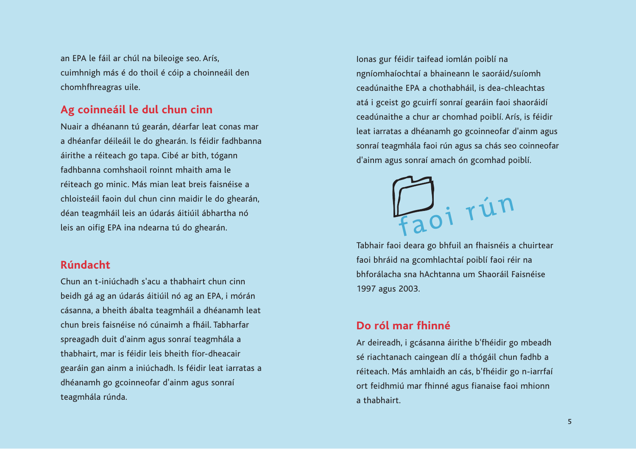an EPA le fáil ar chúl na bileoige seo. Arís, cuimhnigh más é do thoil é cóip a choinneáil den chomhfhreagras uile.

#### **Ag coinneáil le dul chun cinn**

Nuair a dhéanann tú gearán, déarfar leat conas mar a dhéanfar déileáil le do ghearán. Is féidir fadhbanna áirithe a réiteach go tapa. Cibé ar bith, tógann fadhbanna comhshaoil roinnt mhaith ama le réiteach go minic. Más mian leat breis faisnéise a chloisteáil faoin dul chun cinn maidir le do ghearán, déan teagmháil leis an údarás áitiúil ábhartha nó leis an oifig EPA ina ndearna tú do ghearán.

#### **Rúndacht**

Chun an t-iniúchadh s'acu a thabhairt chun cinn beidh gá ag an údarás áitiúil nó ag an EPA, i mórán cásanna, a bheith ábalta teagmháil a dhéanamh leat chun breis faisnéise nó cúnaimh a fháil. Tabharfar spreagadh duit d'ainm agus sonraí teagmhála a thabhairt, mar is féidir leis bheith fíor-dheacair gearáin gan ainm a iniúchadh. Is féidir leat iarratas a dhéanamh go gcoinneofar d'ainm agus sonraí teagmhála rúnda.

Ionas gur féidir taifead iomlán poiblí na ngníomhaíochtaí a bhaineann le saoráid/suíomh ceadúnaithe EPA a chothabháil, is dea-chleachtas atá i gceist go gcuirfí sonraí gearáin faoi shaoráidí ceadúnaithe a chur ar chomhad poiblí. Arís, is féidir leat iarratas a dhéanamh go gcoinneofar d'ainm agus sonraí teagmhála faoi rún agus sa chás seo coinneofar d'ainm agus sonraí amach ón gcomhad poiblí.



Tabhair faoi deara go bhfuil an fhaisnéis a chuirtear faoi bhráid na gcomhlachtaí poiblí faoi réir na bhforálacha sna hAchtanna um Shaoráil Faisnéise 1997 agus 2003.

#### **Do ról mar fhinné**

Ar deireadh, i gcásanna áirithe b'fhéidir go mbeadh sé riachtanach caingean dlí a thógáil chun fadhb a réiteach. Más amhlaidh an cás, b'fhéidir go n-iarrfaí ort feidhmiú mar fhinné agus fianaise faoi mhionn a thabhairt.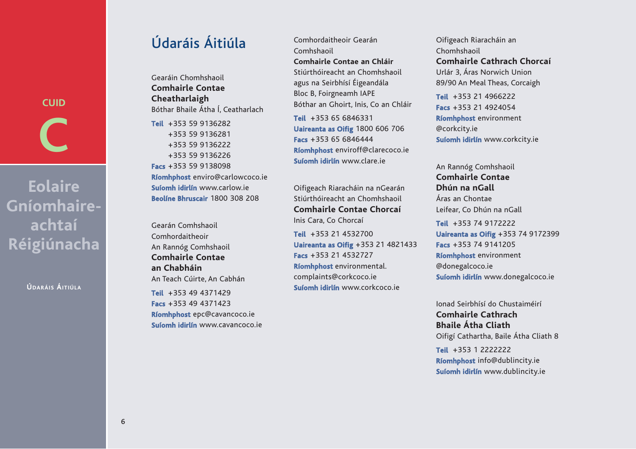**CUID C**

**Eolaire Gníomhaireachtaí Réigiúnacha**

**ÚDARÁIS ÁITIÚLA**

## Údaráis Áitiúla

Gearáin Chomhshaoil **Comhairle Contae Cheatharlaigh** Bóthar Bhaile Átha Í, Ceatharlach

**Teil** +353 59 9136282 +353 59 9136281 +353 59 9136222 +353 59 9136226 **Facs** +353 59 9138098 **Ríomhphost** enviro@carlowcoco.ie **Suíomh idirlín** www.carlow.ie **Beolíne Bhruscair** 1800 308 208

Gearán Comhshaoil Comhordaitheoir An Rannóg Comhshaoil **Comhairle Contae an Chabháin** An Teach Cúirte, An Cabhán **Teil** +353 49 4371429

**Facs** +353 49 4371423 **Ríomhphost** epc@cavancoco.ie **Suíomh idirlín** www.cavancoco.ie

Comhordaitheoir Gearán Comhshaoil **Comhairle Contae an Chláir** Stiúrthóireacht an Chomhshaoil agus na Seirbhísí Éigeandála Bloc B, Foirgneamh IAPE Bóthar an Ghoirt, Inis, Co an Chláir **Teil** +353 65 6846331

**Uaireanta as Oifig** 1800 606 706 **Facs** +353 65 6846444 **Ríomhphost** enviroff@clarecoco.ie **Suíomh idirlín** www.clare.ie

Oifigeach Riaracháin na nGearán Stiúrthóireacht an Chomhshaoil **Comhairle Contae Chorcaí** Inis Cara, Co Chorcaí

**Teil** +353 21 4532700 **Uaireanta as Oifig** +353 21 4821433 **Facs** +353 21 4532727 **Ríomhphost** environmental. complaints@corkcoco.ie **Suíomh idirlín** www.corkcoco.ie

Oifigeach Riaracháin an Chomhshaoil **Comhairle Cathrach Chorcaí** Urlár 3, Áras Norwich Union 89/90 An Meal Theas, Corcaigh

**Teil** +353 21 4966222 **Facs** +353 21 4924054 **Ríomhphost** environment @corkcity.ie **Suíomh idirlín** www.corkcity.ie

An Rannóg Comhshaoil **Comhairle Contae Dhún na nGall** Áras an Chontae Leifear, Co Dhún na nGall **Teil** +353 74 9172222 **Uaireanta as Oifig** +353 74 9172399 **Facs** +353 74 9141205

**Ríomhphost** environment @donegalcoco.ie **Suíomh idirlín** www.donegalcoco.ie

Ionad Seirbhísí do Chustaiméirí **Comhairle Cathrach Bhaile Átha Cliath** Oifigí Cathartha, Baile Átha Cliath 8

**Teil** +353 1 2222222 **Ríomhphost** info@dublincity.ie **Suíomh idirlín** www.dublincity.ie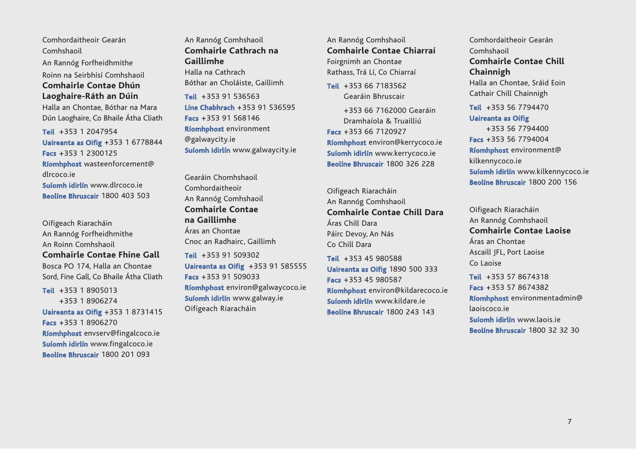Comhordaitheoir Gearán Comhshaoil An Rannóg Forfheidhmithe

Roinn na Seirbhísí Comhshaoil

**Comhairle Contae Dhún Laoghaire-Ráth an Dúin**

Halla an Chontae, Bóthar na Mara Dún Laoghaire, Co Bhaile Átha Cliath

**Teil** +353 1 2047954 **Uaireanta as Oifig** +353 1 6778844 **Facs** +353 1 2300125 **Ríomhphost** wasteenforcement@ dlrcoco.ie **Suíomh idirlín** www.dlrcoco.ie **Beolíne Bhruscair** 1800 403 503

Oifigeach Riaracháin An Rannóg Forfheidhmithe An Roinn Comhshaoil **Comhairle Contae Fhine Gall** Bosca PO 174, Halla an Chontae Sord, Fine Gall, Co Bhaile Átha Cliath

**Teil** +353 1 8905013 +353 1 8906274 **Uaireanta as Oifig** +353 1 8731415 **Facs** +353 1 8906270 **Ríomhphost** envserv@fingalcoco.ie **Suíomh idirlín** www.fingalcoco.ie **Beolíne Bhruscair** 1800 201 093

An Rannóg Comhshaoil **Comhairle Cathrach na Gaillimhe** Halla na Cathrach Bóthar an Choláiste, Gaillimh

**Teil** +353 91 536563 **Líne Chabhrach** +353 91 536595 **Facs** +353 91 568146 **Ríomhphost** environment @galwaycity.ie **Suíomh idirlín** www.galwaycity.ie

Gearáin Chomhshaoil Comhordaitheoir An Rannóg Comhshaoil **Comhairle Contae na Gaillimhe** Áras an Chontae Cnoc an Radhairc, Gaillimh

**Teil** +353 91 509302 **Uaireanta as Oifig** +353 91 585555 **Facs** +353 91 509033 **Ríomhphost** environ@galwaycoco.ie **Suíomh idirlín** www.galway.ie Oifigeach Riaracháin

An Rannóg Comhshaoil **Comhairle Contae Chiarraí** Foirgnimh an Chontae Rathass, Trá Lí, Co Chiarraí

**Teil** +353 66 7183562 Gearáin Bhruscair

+353 66 7162000 Gearáin Dramhaíola & Truailliú **Facs** +353 66 7120927 **Ríomhphost** environ@kerrycoco.ie **Suíomh idirlín** www.kerrycoco.ie **Beolíne Bhruscair** 1800 326 228

Oifigeach Riaracháin An Rannóg Comhshaoil **Comhairle Contae Chill Dara**  Áras Chill Dara Páirc Devoy, An Nás Co Chill Dara

**Teil** +353 45 980588 **Uaireanta as Oifig** 1890 500 333 **Facs** +353 45 980587 **Ríomhphost** environ@kildarecoco.ie **Suíomh idirlín** www.kildare.ie **Beolíne Bhruscair** 1800 243 143

Comhordaitheoir Gearán Comhshaoil **Comhairle Contae Chill Chainnigh**  Halla an Chontae, Sráid Eoin Cathair Chill Chainnigh

**Teil** +353 56 7794470

**Uaireanta as Oifig**  +353 56 7794400 **Facs** +353 56 7794004 **Ríomhphost** environment@ kilkennycoco.ie **Suíomh idirlín** www.kilkennycoco.ie **Beolíne Bhruscair** 1800 200 156

Oifigeach Riaracháin An Rannóg Comhshaoil **Comhairle Contae Laoise** Áras an Chontae Ascaill JFL, Port Laoise Co Laoise

**Teil** +353 57 8674318 **Facs** +353 57 8674382 **Ríomhphost** environmentadmin@ laoiscoco.ie **Suíomh idirlín** www.laois.ie **Beolíne Bhruscair** 1800 32 32 30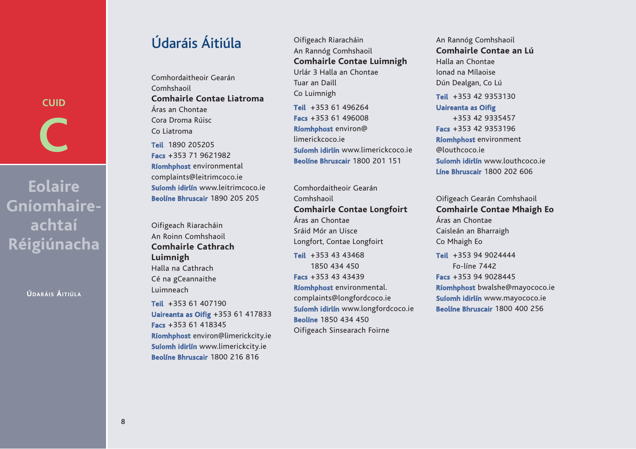**CUID C**

**Eolaire Gníomhaireachtaí Réigiúnacha**

**ÚDARÁIS ÁITIÚLA**

## Údaráis Áitiúla

Comhordaitheoir Gearán Comhshaoil **Comhairle Contae Liatroma** Áras an Chontae Cora Droma Rúisc Co Liatroma

**Teil** 1890 205205 **Facs** +353 71 9621982 **Ríomhphost** environmental complaints@leitrimcoco.ie **Suíomh idirlín** www.leitrimcoco.ie **Beolíne Bhruscair** 1890 205 205

Oifigeach Riaracháin An Roinn Comhshaoil **Comhairle Cathrach Luimnigh** Halla na Cathrach Cé na gCeannaithe Luimneach

**Teil** +353 61 407190 **Uaireanta as Oifig** +353 61 417833 **Facs** +353 61 418345 **Ríomhphost** environ@limerickcity.ie **Suíomh idirlín** www.limerickcity.ie **Beolíne Bhruscair** 1800 216 816

Oifigeach Riaracháin An Rannóg Comhshaoil **Comhairle Contae Luimnigh** Urlár 3 Halla an Chontae Tuar an Daill Co Luimnigh **Teil** +353 61 496264 **Facs** +353 61 496008 **Ríomhphost** environ@ limerickcoco.ie **Suíomh idirlín** www.limerickcoco.ie **Beolíne Bhruscair** 1800 201 151

Comhordaitheoir Gearán Comhshaoil **Comhairle Contae Longfoirt**  Áras an Chontae Sráid Mór an Uisce Longfort, Contae Longfoirt

**Teil** +353 43 43468 1850 434 450 **Facs** +353 43 43439 **Ríomhphost** environmental. complaints@longfordcoco.ie **Suíomh idirlín** www.longfordcoco.ie **Beolíne** 1850 434 450 Oifigeach Sinsearach Foirne

An Rannóg Comhshaoil **Comhairle Contae an Lú** Halla an Chontae Ionad na Mílaoise Dún Dealgan, Co Lú **Teil** +353 42 9353130 **Uaireanta as Oifig** +353 42 9335457 **Facs** +353 42 9353196 **Ríomhphost** environment @louthcoco.ie **Suíomh idirlín** www.louthcoco.ie **Líne Bhruscair** 1800 202 606

Oifigeach Gearán Comhshaoil **Comhairle Contae Mhaigh Eo**  Áras an Chontae Caisleán an Bharraigh Co Mhaigh Eo **Teil** +353 94 9024444

Fo-líne 7442 **Facs** +353 94 9028445 **Ríomhphost** bwalshe@mayococo.ie **Suíomh idirlín** www.mayococo.ie **Beolíne Bhruscair** 1800 400 256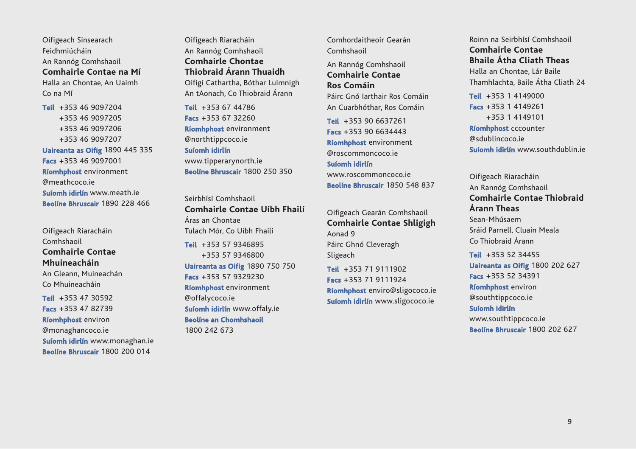Oifigeach Sinsearach Feidhmiúcháin An Rannóg Comhshaoil **Comhairle Contae na Mí** Halla an Chontae, An Uaimh Co na Mí

**Teil** +353 46 9097204 +353 46 9097205 +353 46 9097206 +353 46 9097207 **Uaireanta as Oifig** 1890 445 335 **Facs** +353 46 9097001 **Ríomhphost** environment @meathcoco.ie **Suíomh idirlín** www.meath.ie **Beolíne Bhruscair** 1890 228 466

Oifigeach Riaracháin Comhshaoil **Comhairle Contae Mhuineacháin** An Gleann, Muineachán Co Mhuineacháin **Teil** +353 47 30592

**Facs** +353 47 82739 **Ríomhphost** environ @monaghancoco.ie **Suíomh idirlín** www.monaghan.ie

**Beolíne Bhruscair** 1800 200 014

Oifigeach Riaracháin An Rannóg Comhshaoil **Comhairle Chontae Thiobraid Árann Thuaidh** Oifigí Cathartha, Bóthar Luimnigh An tAonach, Co Thiobraid Árann

**Teil** +353 67 44786 **Facs** +353 67 32260 **Ríomhphost** environment @northtippcoco.ie

**Suíomh idirlín** www.tipperarynorth.ie

**Beolíne Bhruscair** 1800 250 350

Seirbhísí Comhshaoil **Comhairle Contae Uíbh Fhailí** Áras an Chontae Tulach Mór, Co Uíbh Fhailí

**Teil** +353 57 9346895 +353 57 9346800 **Uaireanta as Oifig** 1890 750 750 **Facs** +353 57 9329230 **Ríomhphost** environment @offalycoco.ie **Suíomh idirlín** www.offaly.ie **Beolíne an Chomhshaoil** 1800 242 673

Comhordaitheoir Gearán Comhshaoil

An Rannóg Comhshaoil **Comhairle Contae Ros Comáin** Páirc Gnó Iarthair Ros Comáin An Cuarbhóthar, Ros Comáin

**Teil** +353 90 6637261 **Facs** +353 90 6634443 **Ríomhphost** environment @roscommoncoco.ie

**Suíomh idirlín** www.roscommoncoco.ie **Beolíne Bhruscair** 1850 548 837

Oifigeach Gearán Comhshaoil **Comhairle Contae Shligigh** Aonad 9 Páirc Ghnó Cleveragh Sligeach

**Teil** +353 71 9111902 **Facs** +353 71 9111924 **Ríomhphost** enviro@sligococo.ie **Suíomh idirlín** www.sligococo.ie

Roinn na Seirbhísí Comhshaoil **Comhairle Contae Bhaile Átha Cliath Theas** 

Halla an Chontae, Lár Baile Thamhlachta, Baile Átha Cliath 24

**Teil** +353 1 4149000 **Facs** +353 1 4149261 +353 1 4149101 **Ríomhphost** cccounter @sdublincoco.ie **Suíomh idirlín** www.southdublin.ie

Oifigeach Riaracháin An Rannóg Comhshaoil **Comhairle Contae Thiobraid Árann Theas**  Sean-Mhúsaem Sráid Parnell, Cluain Meala Co Thiobraid Árann

**Teil** +353 52 34455 **Uaireanta as Oifig** 1800 202 627 **Facs** +353 52 34391 **Ríomhphost** environ @southtippcoco.ie **Suíomh idirlín** www.southtippcoco.ie **Beolíne Bhruscair** 1800 202 627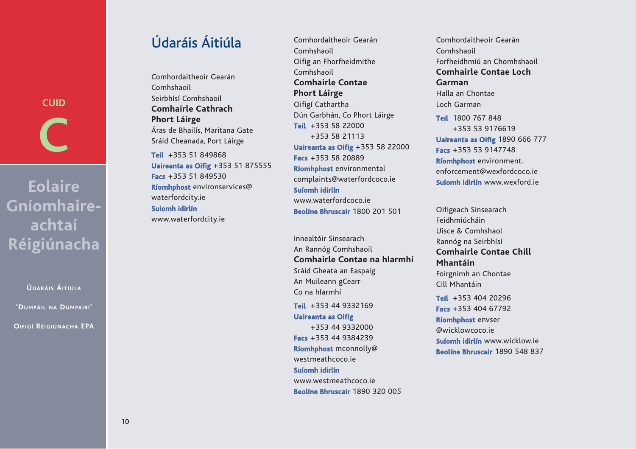**CUID C**

**Eolaire Gníomhaireachtaí Réigiúnacha**

**ÚDARÁIS ÁITIÚLA**

**'DUMPÁIL NA DUMPAIRÍ'** 

**OIFIGÍ RÉIGIÚNACHA EPA**

## Údaráis Áitiúla

Comhordaitheoir Gearán Comhshaoil Seirbhísí Comhshaoil **Comhairle Cathrach Phort Láirge** Áras de Bhailís, Maritana Gate Sráid Cheanada, Port Láirge **Teil** +353 51 849868 **Uaireanta as Oifig** +353 51 875555 **Facs** +353 51 849530 **Ríomhphost** environservices@ waterfordcity.ie

**Suíomh idirlín** www.waterfordcity.ie

Comhordaitheoir Gearán Comhshaoil Oifig an Fhorfheidmithe Comhshaoil **Comhairle Contae Phort Láirge**  Oifigí Cathartha Dún Garbhán, Co Phort Láirge **Teil** +353 58 22000 +353 58 21113 **Uaireanta as Oifig** +353 58 22000 **Facs** +353 58 20889 **Ríomhphost** environmental complaints@waterfordcoco.ie **Suíomh idirlín** www.waterfordcoco.ie **Beolíne Bhruscair** 1800 201 501

Innealtóir Sinsearach An Rannóg Comhshaoil **Comhairle Contae na hIarmhí** Sráid Gheata an Easpaig An Muileann gCearr Co na hIarmhí **Teil** +353 44 9332169 **Uaireanta as Oifig** +353 44 9332000 **Facs** +353 44 9384239 **Ríomhphost** mconnolly@

westmeathcoco.ie

**Suíomh idirlín** www.westmeathcoco.ie **Beolíne Bhruscair** 1890 320 005

Comhordaitheoir Gearán Comhshaoil Forfheidhmiú an Chomhshaoil **Comhairle Contae Loch Garman** Halla an Chontae Loch Garman **Teil** 1800 767 848 +353 53 9176619 **Uaireanta as Oifig** 1890 666 777 **Facs** +353 53 9147748 **Ríomhphost** environment. enforcement@wexfordcoco.ie **Suíomh idirlín** www.wexford.ie

Oifigeach Sinsearach Feidhmiúcháin Uisce & Comhshaol Rannóg na Seirbhísí **Comhairle Contae Chill Mhantáin** Foirgnimh an Chontae Cill Mhantáin **Teil** +353 404 20296 **Facs** +353 404 67792 **Ríomhphost** envser @wicklowcoco.ie **Suíomh idirlín** www.wicklow.ie **Beolíne Bhruscair** 1890 548 837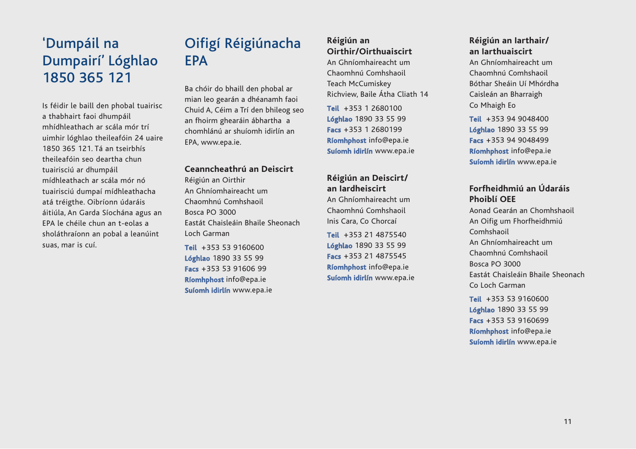## 'Dumpáil na Dumpairí' Lóghlao 1850 365 121

Is féidir le baill den phobal tuairisc a thabhairt faoi dhumpáil mhídhleathach ar scála mór trí uimhir lóghlao theileafóin 24 uaire 1850 365 121. Tá an tseirbhís theileafóin seo deartha chun tuairisciú ar dhumpáil mídhleathach ar scála mór nó tuairisciú dumpaí mídhleathacha atá tréigthe. Oibríonn údaráis áitiúla, An Garda Síochána agus an EPA le chéile chun an t-eolas a sholáthraíonn an pobal a leanúint suas, mar is cuí.

## Oifigí Réigiúnacha **FPA**

Ba chóir do bhaill den phobal ar mian leo gearán a dhéanamh faoi Chuid A, Céim a Trí den bhileog seo an fhoirm ghearáin ábhartha a chomhlánú ar shuíomh idirlín an EPA, www.epa.ie.

#### **Ceanncheathrú an Deiscirt**

Réigiún an Oirthir An Ghníomhaireacht um Chaomhnú Comhshaoil Bosca PO 3000 Eastát Chaisleáin Bhaile Sheonach Loch Garman

**Teil** +353 53 9160600 **Lóghlao** 1890 33 55 99 **Facs** +353 53 91606 99 **Ríomhphost** info@epa.ie **Suíomh idirlín** www.epa.ie

#### **Réigiún an Oirthir/Oirthuaiscirt**

An Ghníomhaireacht um Chaomhnú Comhshaoil Teach McCumiskey Richview, Baile Átha Cliath 14

**Teil** +353 1 2680100 **Lóghlao** 1890 33 55 99 **Facs** +353 1 2680199 **Ríomhphost** info@epa.ie **Suíomh idirlín** www.epa.ie

#### **Réigiún an Deiscirt/ an Iardheiscirt**

An Ghníomhaireacht um Chaomhnú Comhshaoil Inis Cara, Co Chorcaí

**Teil** +353 21 4875540 **Lóghlao** 1890 33 55 99 **Facs** +353 21 4875545 **Ríomhphost** info@epa.ie **Suíomh idirlín** www.epa.ie

#### **Réigiún an Iarthair/ an Iarthuaiscirt**

An Ghníomhaireacht um Chaomhnú Comhshaoil Bóthar Sheáin Uí Mhórdha Caisleán an Bharraigh Co Mhaigh Eo

**Teil** +353 94 9048400 **Lóghlao** 1890 33 55 99 **Facs** +353 94 9048499 **Ríomhphost** info@epa.ie **Suíomh idirlín** www.epa.ie

#### **Forfheidhmiú an Údaráis Phoiblí OEE**

Aonad Gearán an Chomhshaoil An Oifig um Fhorfheidhmiú Comhshaoil An Ghníomhaireacht um Chaomhnú Comhshaoil Bosca PO 3000 Eastát Chaisleáin Bhaile Sheonach Co Loch Garman

**Teil** +353 53 9160600 **Lóghlao** 1890 33 55 99 **Facs** +353 53 9160699 **Ríomhphost** info@epa.ie **Suíomh idirlín** www.epa.ie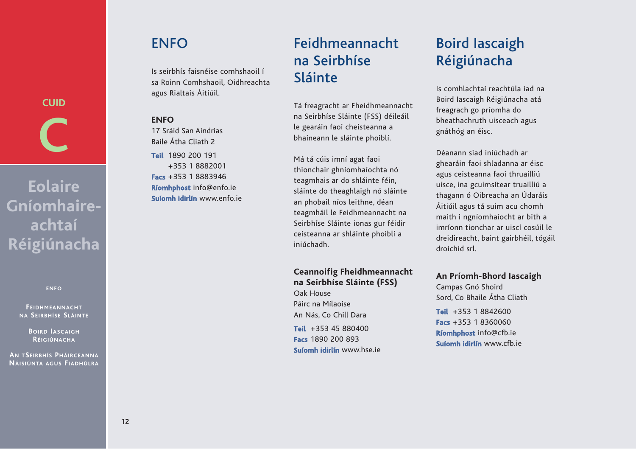### **ENFO**

Is seirbhís faisnéise comhshaoil í sa Roinn Comhshaoil, Oidhreachta agus Rialtais Áitiúil.

#### **ENFO**

17 Sráid San Aindrias Baile Átha Cliath 2 **Teil** 1890 200 191 +353 1 8882001 **Facs** +353 1 8883946 **Ríomhphost** info@enfo.ie **Suíomh idirlín** www.enfo.ie

## Feidhmeannacht na Seirbhíse Sláinte

Tá freagracht ar Fheidhmeannacht na Seirbhíse Sláinte (FSS) déileáil le gearáin faoi cheisteanna a bhaineann le sláinte phoiblí.

Má tá cúis imní agat faoi thionchair ghníomhaíochta nó teagmhais ar do shláinte féin, sláinte do theaghlaigh nó sláinte an phobail níos leithne, déan teagmháil le Feidhmeannacht na Seirbhíse Sláinte ionas gur féidir ceisteanna ar shláinte phoiblí a iniúchadh.

#### **Ceannoifig Fheidhmeannacht na Seirbhíse Sláinte (FSS)**

Oak House Páirc na Mílaoise An Nás, Co Chill Dara

**Teil** +353 45 880400 **Facs** 1890 200 893 **Suíomh idirlín** www.hse.ie

## Boird Iascaigh Réigiúnacha

Is comhlachtaí reachtúla iad na Boird Iascaigh Réigiúnacha atá freagrach go príomha do bheathachruth uisceach agus gnáthóg an éisc.

Déanann siad iniúchadh ar ghearáin faoi shladanna ar éisc agus ceisteanna faoi thruailliú uisce, ina gcuimsítear truailliú a thagann ó Oibreacha an Údaráis Áitiúil agus tá suim acu chomh maith i ngníomhaíocht ar bith a imríonn tionchar ar uiscí cosúil le dreidireacht, baint gairbhéil, tógáil droichid srl.

#### **An Príomh-Bhord Iascaigh**

Campas Gnó Shoird Sord, Co Bhaile Átha Cliath

**Teil** +353 1 8842600 **Facs** +353 1 8360060 **Ríomhphost** info@cfb.ie **Suíomh idirlín** www.cfb.ie

**Eolaire Gníomhaireachtaí Réigiúnacha**

**CUID**

**C**

**ENFO**

**FEIDHMEANNACHT NA SEIRBHÍSE SLÁINTE**

> **BOIRD IASCAIGH RÉIGIÚNACHA**

**AN TSEIRBHÍS PHÁIRCEANNA NÁISIÚNTA AGUS FIADHÚLRA**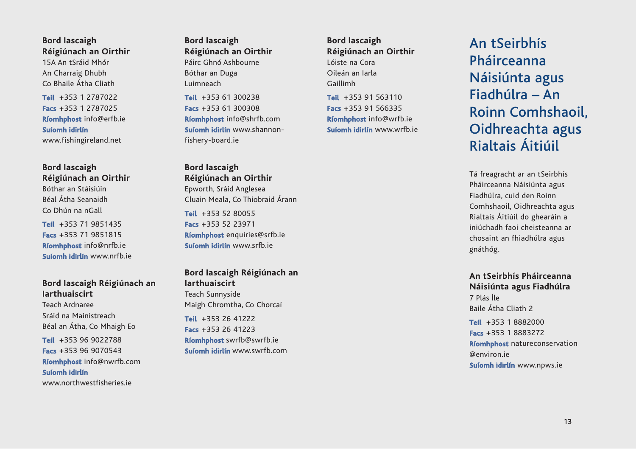**Bord Iascaigh Réigiúnach an Oirthir**

15A An tSráid Mhór An Charraig Dhubh Co Bhaile Átha Cliath

**Teil** +353 1 2787022 **Facs** +353 1 2787025 **Ríomhphost** info@erfb.ie **Suíomh idirlín** www.fishingireland.net

**Bord Iascaigh Réigiúnach an Oirthir** Bóthar an Stáisiúin Béal Átha Seanaidh Co Dhún na nGall

**Teil** +353 71 9851435 **Facs** +353 71 9851815 **Ríomhphost** info@nrfb.ie **Suíomh idirlín** www.nrfb.ie

#### **Bord Iascaigh Réigiúnach an Iarthuaiscirt**

Teach Ardnaree Sráid na Mainistreach Béal an Átha, Co Mhaigh Eo

**Teil** +353 96 9022788 **Facs** +353 96 9070543 **Ríomhphost** info@nwrfb.com **Suíomh idirlín** www.northwestfisheries.ie

**Bord Iascaigh Réigiúnach an Oirthir** Páirc Ghnó Ashbourne Bóthar an Duga Luimneach

**Teil** +353 61 300238 **Facs** +353 61 300308 **Ríomhphost** info@shrfb.com **Suíomh idirlín** www.shannonfishery-board.ie

**Bord Iascaigh Réigiúnach an Oirthir** Epworth, Sráid Anglesea Cluain Meala, Co Thiobraid Árann **Teil** +353 52 80055 **Facs** +353 52 23971 **Ríomhphost** enquiries@srfb.ie **Suíomh idirlín** www.srfb.ie

#### **Bord Iascaigh Réigiúnach an Iarthuaiscirt**

Teach Sunnyside Maigh Chromtha, Co Chorcaí

**Teil** +353 26 41222 **Facs** +353 26 41223 **Ríomhphost** swrfb@swrfb.ie **Suíomh idirlín** www.swrfb.com **Bord Iascaigh Réigiúnach an Oirthir** Lóiste na Cora Oileán an Iarla Gaillimh

**Teil** +353 91 563110 **Facs** +353 91 566335 **Ríomhphost** info@wrfb.ie **Suíomh idirlín** www.wrfb.ie

## An tSeirbhís Pháirceanna Náisiúnta agus Fiadhúlra – An Roinn Comhshaoil, Oidhreachta agus Rialtais Áitiúil

Tá freagracht ar an tSeirbhís Pháirceanna Náisiúnta agus Fiadhúlra, cuid den Roinn Comhshaoil, Oidhreachta agus Rialtais Áitiúil do ghearáin a iniúchadh faoi cheisteanna ar chosaint an fhiadhúlra agus gnáthóg.

**An tSeirbhís Pháirceanna Náisiúnta agus Fiadhúlra** 7 Plás Íle Baile Átha Cliath 2

**Teil** +353 1 8882000 **Facs** +353 1 8883272 **Ríomhphost** natureconservation @environ.ie **Suíomh idirlín** www.npws.ie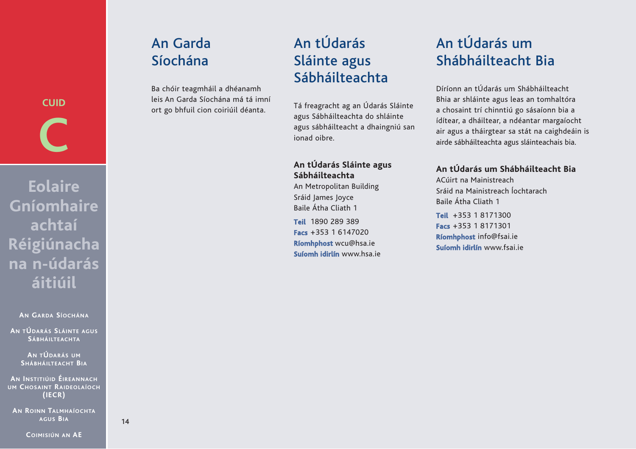## An Garda Síochána

Ba chóir teagmháil a dhéanamh leis An Garda Síochána má tá imní ort go bhfuil cion coiriúil déanta.

## An tÚdarás Sláinte agus Sábháilteachta

Tá freagracht ag an Údarás Sláinte agus Sábháilteachta do shláinte agus sábháilteacht a dhaingniú san ionad oibre.

#### **An tÚdarás Sláinte agus Sábháilteachta**

An Metropolitan Building Sráid James Joyce Baile Átha Cliath 1

**Teil** 1890 289 389 **Facs** +353 1 6147020 **Ríomhphost** wcu@hsa.ie **Suíomh idirlín** www.hsa.ie

## An tÚdarás um Shábháilteacht Bia

Díríonn an tÚdarás um Shábháilteacht Bhia ar shláinte agus leas an tomhaltóra a chosaint trí chinntiú go sásaíonn bia a ídítear, a dháiltear, a ndéantar margaíocht air agus a tháirgtear sa stát na caighdeáin is airde sábháilteachta agus sláinteachais bia.

#### **An tÚdarás um Shábháilteacht Bia**

ACúirt na Mainistreach Sráid na Mainistreach Íochtarach Baile Átha Cliath 1

**Teil** +353 1 8171300 **Facs** +353 1 8171301 **Ríomhphost** info@fsai.ie **Suíomh idirlín** www.fsai.ie

**C Eolaire Gníomhaire achtaí Réigiúnacha na n-údarás áitiúil**

**CUID**

**AN GARDA SÍOCHÁNA**

**AN TÚDARÁS SLÁINTE AGUS SÁBHÁILTEACHTA**

> **AN TÚDARÁS UM SHÁBHÁILTEACHT BIA**

**AN INSTITIÚID ÉIREANNACH UM CHOSAINT RAIDEOLAÍOCH (IECR)** 

**AN ROINN TALMHAÍOCHTA AGUS BIA**

**COIMISIÚN AN AE**

14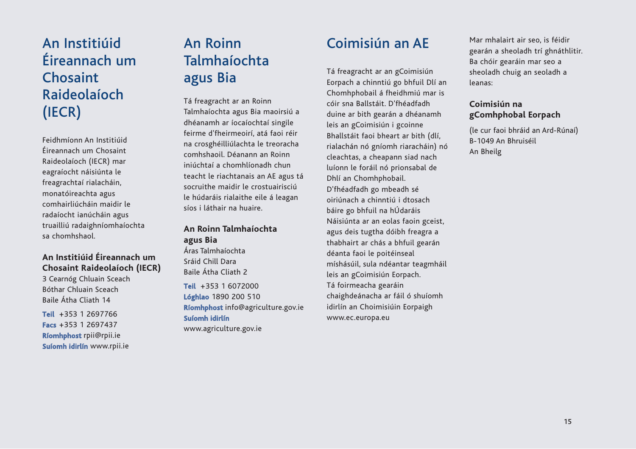## An Institiúid Éireannach um Chosaint Raideolaíoch (IECR)

Feidhmíonn An Institiúid Éireannach um Chosaint Raideolaíoch (IECR) mar eagraíocht náisiúnta le freagrachtaí rialacháin, monatóireachta agus comhairliúcháin maidir le radaíocht ianúcháin agus truailliú radaighníomhaíochta sa chomhshaol.

#### **An Institiúid Éireannach um Chosaint Raideolaíoch (IECR)**

3 Cearnóg Chluain Sceach Bóthar Chluain Sceach Baile Átha Cliath 14

**Teil** +353 1 2697766 **Facs** +353 1 2697437 **Ríomhphost** rpii@rpii.ie **Suíomh idirlín** www.rpii.ie

## An Roinn Talmhaíochta agus Bia

Tá freagracht ar an Roinn Talmhaíochta agus Bia maoirsiú a dhéanamh ar íocaíochtaí singile feirme d'fheirmeoirí, atá faoi réir na crosghéilliúlachta le treoracha comhshaoil. Déanann an Roinn iniúchtaí a chomhlíonadh chun teacht le riachtanais an AE agus tá socruithe maidir le crostuairisciú le húdaráis rialaithe eile á leagan síos i láthair na huaire.

#### **An Roinn Talmhaíochta agus Bia**

Áras Talmhaíochta Sráid Chill Dara Baile Átha Cliath 2

**Teil** +353 1 6072000 **Lóghlao** 1890 200 510 **Ríomhphost** info@agriculture.gov.ie **Suíomh idirlín**

www.agriculture.gov.ie

## Coimisiún an AE

Tá freagracht ar an gCoimisiún Eorpach a chinntiú go bhfuil Dlí an Chomhphobail á fheidhmiú mar is cóir sna Ballstáit. D'fhéadfadh duine ar bith gearán a dhéanamh leis an gCoimisiún i gcoinne Bhallstáit faoi bheart ar bith (dlí, rialachán nó gníomh riaracháin) nó cleachtas, a cheapann siad nach luíonn le foráil nó prionsabal de Dhlí an Chomhphobail. D'fhéadfadh go mbeadh sé oiriúnach a chinntiú i dtosach báire go bhfuil na hÚdaráis Náisiúnta ar an eolas faoin gceist, agus deis tugtha dóibh freagra a thabhairt ar chás a bhfuil gearán déanta faoi le poitéinseal míshásúil, sula ndéantar teagmháil leis an gCoimisiún Eorpach. Tá foirmeacha gearáin chaighdeánacha ar fáil ó shuíomh idirlín an Choimisiúin Eorpaigh www.ec.europa.eu

Mar mhalairt air seo, is féidir gearán a sheoladh trí ghnáthlitir. Ba chóir gearáin mar seo a sheoladh chuig an seoladh a leanas:

#### **Coimisiún na gComhphobal Eorpach**

(le cur faoi bhráid an Ard-Rúnaí) B-1049 An Bhruiséil An Bheilg